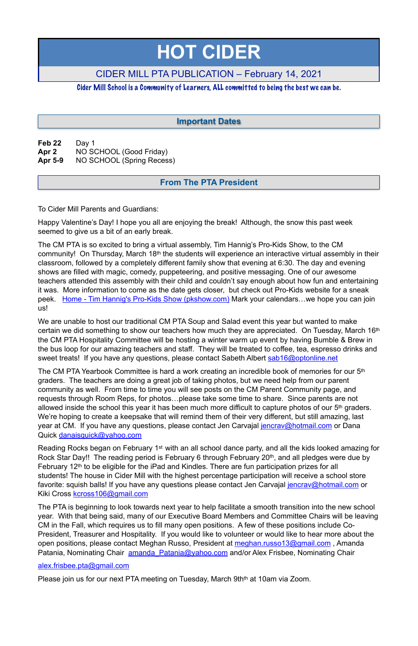**Feb 22** Day 1 **Apr 2** NO SCHOOL (Good Friday) **Apr 5-9** NO SCHOOL (Spring Recess)

To Cider Mill Parents and Guardians:

Happy Valentine's Day! I hope you all are enjoying the break! Although, the snow this past week seemed to give us a bit of an early break.

We are unable to host our traditional CM PTA Soup and Salad event this year but wanted to make certain we did something to show our teachers how much they are appreciated. On Tuesday, March 16th the CM PTA Hospitality Committee will be hosting a winter warm up event by having Bumble & Brew in the bus loop for our amazing teachers and staff. They will be treated to coffee, tea, espresso drinks and sweet treats! If you have any questions, please contact Sabeth Albert [sab16@optonline.net](mailto:sab16@optonline.net)

The CM PTA is so excited to bring a virtual assembly, Tim Hannig's Pro-Kids Show, to the CM community! On Thursday, March 18<sup>th</sup> the students will experience an interactive virtual assembly in their classroom, followed by a completely different family show that evening at 6:30. The day and evening shows are filled with magic, comedy, puppeteering, and positive messaging. One of our awesome teachers attended this assembly with their child and couldn't say enough about how fun and entertaining it was. More information to come as the date gets closer, but check out Pro-Kids website for a sneak peek. [Home - Tim Hannig's Pro-Kids Show \(pkshow.com\)](https://pkshow.com/) Mark your calendars... we hope you can join us!

The PTA is beginning to look towards next year to help facilitate a smooth transition into the new school year. With that being said, many of our Executive Board Members and Committee Chairs will be leaving CM in the Fall, which requires us to fill many open positions. A few of these positions include Co-President, Treasurer and Hospitality. If you would like to volunteer or would like to hear more about the open positions, please contact Meghan Russo, President at [meghan.russo13@gmail.com](mailto:meghan.russo13@gmail.com), Amanda Patania, Nominating Chair amanda Patania@yahoo.com and/or Alex Frisbee, Nominating Chair

The CM PTA Yearbook Committee is hard a work creating an incredible book of memories for our 5th graders. The teachers are doing a great job of taking photos, but we need help from our parent community as well. From time to time you will see posts on the CM Parent Community page, and requests through Room Reps, for photos…please take some time to share. Since parents are not allowed inside the school this year it has been much more difficult to capture photos of our 5<sup>th</sup> graders. We're hoping to create a keepsake that will remind them of their very different, but still amazing, last year at CM. If you have any questions, please contact Jen Carvajal [jencrav@hotmail.com](mailto:jencrav@hotmail.com) or Dana Quick [danaisquick@yahoo.com](mailto:danaisquick@yahoo.com)

Reading Rocks began on February 1st with an all school dance party, and all the kids looked amazing for Rock Star Day!! The reading period is February 6 through February 20th, and all pledges were due by February 12th to be eligible for the iPad and Kindles. There are fun participation prizes for all students! The house in Cider Mill with the highest percentage participation will receive a school store favorite: squish balls! If you have any questions please contact Jen Carvajal [jencrav@hotmail.com](mailto:jencrav@hotmail.com) or Kiki Cross [kcross106@gmail.com](mailto:kcross106@gmail.com) 

alex.frisbee.pta@gmail.com

Please join us for our next PTA meeting on Tuesday, March 9th<sup>th</sup> at 10am via Zoom.

# **HOT CIDER**

# CIDER MILL PTA PUBLICATION – February 14, 2021

### Cider Mill School is a Community of Learners, ALL committed to being the best we can be.

## **From The PTA President**

## **Important Dates**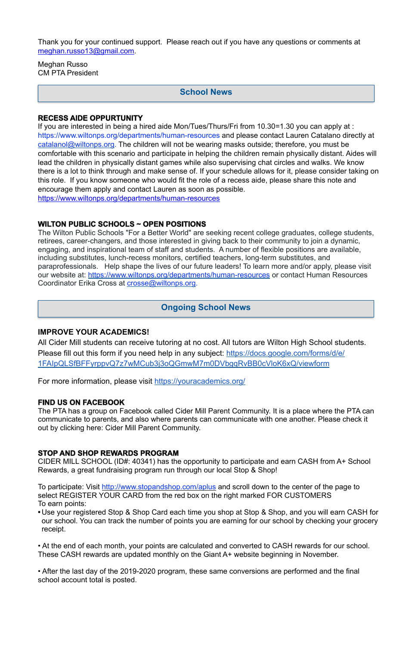Thank you for your continued support. Please reach out if you have any questions or comments at [meghan.russo13@gmail.com](mailto:meghan.russo13@gmail.com).

Meghan Russo CM PTA President

#### **RECESS AIDE OPPURTUNITY**

The Wilton Public Schools "For a Better World" are seeking recent college graduates, college students, retirees, career-changers, and those interested in giving back to their community to join a dynamic, engaging, and inspirational team of staff and students. A number of flexible positions are available, including substitutes, lunch-recess monitors, certified teachers, long-term substitutes, and paraprofessionals. Help shape the lives of our future leaders! To learn more and/or apply, please visit our website at: <https://www.wiltonps.org/departments/human-resources> or contact Human Resources Coordinator Erika Cross at [crosse@wiltonps.org.](mailto:crosse@wiltonps.org)

If you are interested in being a hired aide Mon/Tues/Thurs/Fri from 10.30=1.30 you can apply at : [https://www.wiltonps.org/departments/human-resources](https://www.wiltonps.org/departments/human-resources?fbclid=IwAR3TUVxBrbxg-pc-qi8vNYs1B7cVNLy0eo0eWHb_Ec4rm5JfvXLo5GGe2Fw) and please contact Lauren Catalano directly at [catalanol@wiltonps.org.](mailto:catalanol@wiltonps.org) The children will not be wearing masks outside; therefore, you must be comfortable with this scenario and participate in helping the children remain physically distant. Aides will lead the children in physically distant games while also supervising chat circles and walks. We know there is a lot to think through and make sense of. If your schedule allows for it, please consider taking on this role. If you know someone who would fit the role of a recess aide, please share this note and encourage them apply and contact Lauren as soon as possible. [https://www.wiltonps.org/departments/human-resources](https://l.facebook.com/l.php?u=https%3A%2F%2Fwww.wiltonps.org%2Fdepartments%2Fhuman-resources%3Ffbclid%3DIwAR2A4FCNJ2PRz6saqACZxGQewdpueeLs8yA01V7fJf-h4rxef6eBr3va0mQ&h=AT35quouDc-gAkkL_UQZmnM6yuafnMfhRsXSVey1KWxqd-e2cb2LoyUJ2VwWnQTEbY3ydh0AehTco63atFeeYRDqaAEjKZALXaQWsjpzoxjEVgeZXuhaEeQvwLm9hFsBVg&__tn__=-UK-R&c%5B0%5D=AT0RJcBQtfzwnFAYG4OyjJLHDj5Xyg0m6ppVhAlM-uw6hp2WgexbkZlp8xaNC1zm391-PoLqVwu_j8QX5vFV0bL5BOnqnI8rQdoCjG7PAyX4mdjKXUjjyjBxJoy9lfKU2doW8JBqcQdUdp5UxjY2qEZANUroc9XCFxLgZopfCMfHMCHSySNYkY8jJU89yACoTalNR99W43fLeV2QLg)

#### **WILTON PUBLIC SCHOOLS ~ OPEN POSITIONS**

#### **IMPROVE YOUR ACADEMICS!**

All Cider Mill students can receive tutoring at no cost. All tutors are Wilton High School students. Please fill out this form if you need help in any subject: [https://docs.google.com/forms/d/e/](https://docs.google.com/forms/d/e/1FAIpQLSfBFFyrppvQ7z7wMCub3j3oQGmwM7m0DVbgqRvBB0cVloK6xQ/viewform) [1FAIpQLSfBFFyrppvQ7z7wMCub3j3oQGmwM7m0DVbgqRvBB0cVloK6xQ/viewform](https://docs.google.com/forms/d/e/1FAIpQLSfBFFyrppvQ7z7wMCub3j3oQGmwM7m0DVbgqRvBB0cVloK6xQ/viewform)

For more information, please visit <https://youracademics.org/>

#### **FIND US ON FACEBOOK**

The PTA has a group on Facebook called Cider Mill Parent Community. It is a place where the PTA can communicate to parents, and also where parents can communicate with one another. Please check it out by clicking here: [Cider Mill Parent Community.](https://www.facebook.com/groups/1168962513117647/)

#### **STOP AND SHOP REWARDS PROGRAM**

CIDER MILL SCHOOL (ID#: 40341) has the opportunity to participate and earn CASH from A+ School Rewards, a great fundraising program run through our local Stop & Shop!

To participate: Visit<http://www.stopandshop.com/aplus> and scroll down to the center of the page to select REGISTER YOUR CARD from the red box on the right marked FOR CUSTOMERS To earn points:

**•** Use your registered Stop & Shop Card each time you shop at Stop & Shop, and you will earn CASH for our school. You can track the number of points you are earning for our school by checking your grocery receipt.

• At the end of each month, your points are calculated and converted to CASH rewards for our school. These CASH rewards are updated monthly on the Giant A+ website beginning in November.

• After the last day of the 2019-2020 program, these same conversions are performed and the final school account total is posted.

## **School News**

## **Ongoing School News**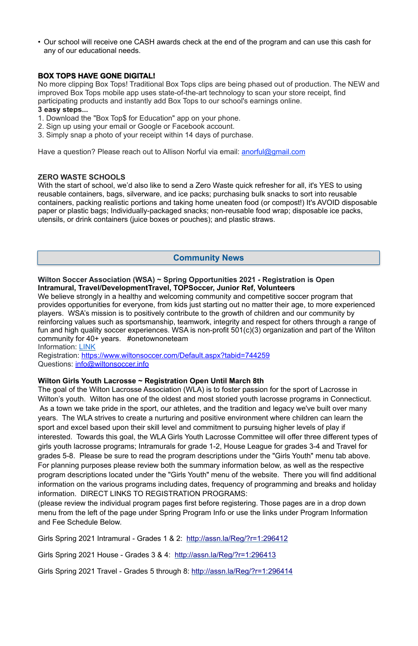• Our school will receive one CASH awards check at the end of the program and can use this cash for any of our educational needs.

#### **BOX TOPS HAVE GONE DIGITAL!**

No more clipping Box Tops! Traditional Box Tops clips are being phased out of production. The NEW and improved Box Tops mobile app uses state-of-the-art technology to scan your store receipt, find participating products and instantly add Box Tops to our school's earnings online.

#### **3 easy steps...**

- 1. Download the "Box Top\$ for Education" app on your phone.
- 2. Sign up using your email or Google or Facebook account.
- 3. Simply snap a photo of your receipt within 14 days of purchase.

Have a question? Please reach out to Allison Norful via email: [anorful@gmail.com](mailto:anorful@gmail.com)

With the start of school, we'd also like to send a Zero Waste quick refresher for all, it's YES to using reusable containers, bags, silverware, and ice packs; purchasing bulk snacks to sort into reusable containers, packing realistic portions and taking home uneaten food (or compost!) It's AVOID disposable paper or plastic bags; Individually-packaged snacks; non-reusable food wrap; disposable ice packs, utensils, or drink containers (juice boxes or pouches); and plastic straws.

#### **ZERO WASTE SCHOOLS**

We believe strongly in a healthy and welcoming community and competitive soccer program that provides opportunities for everyone, from kids just starting out no matter their age, to more experienced players. WSA's mission is to positively contribute to the growth of children and our community by reinforcing values such as sportsmanship, teamwork, integrity and respect for others through a range of fun and high quality soccer experiences. WSA is non-profit 501(c)(3) organization and part of the Wilton community for 40+ years. #onetownoneteam

Registration:<https://www.wiltonsoccer.com/Default.aspx?tabid=744259> Questions: [info@wiltonsoccer.info](mailto:info@wiltonsoccer.info)

#### **Wilton Soccer Association (WSA) ~ Spring Opportunities 2021 - Registration is Open Intramural, Travel/DevelopmentTravel, TOPSoccer, Junior Ref, Volunteers**

Information: [LINK](https://docs.google.com/presentation/d/e/2PACX-1vRkkfbPrlARLg5fN6hLplxTqgUlD9FqUVQlC4Yqwf95e1WC0xqEqJkeWrtHsWyTHva45e0jRWfs8nwN/pub?start=false&loop=false&delayms=15000&slide=id.g559324ff2bb166ab_1) 

#### **Wilton Girls Youth Lacrosse ~ Registration Open Until March 8th**

The goal of the Wilton Lacrosse Association (WLA) is to foster passion for the sport of Lacrosse in Wilton's youth. Wilton has one of the oldest and most storied youth lacrosse programs in Connecticut. As a town we take pride in the sport, our athletes, and the tradition and legacy we've built over many years. The WLA strives to create a nurturing and positive environment where children can learn the sport and excel based upon their skill level and commitment to pursuing higher levels of play if interested. Towards this goal, the WLA Girls Youth Lacrosse Committee will offer three different types of girls youth lacrosse programs; Intramurals for grade 1-2, House League for grades 3-4 and Travel for grades 5-8. Please be sure to read the program descriptions under the "Girls Youth" menu tab above. For planning purposes please review both the summary information below, as well as the respective program descriptions located under the "Girls Youth" menu of the website. There you will find additional information on the various programs including dates, frequency of programming and breaks and holiday information. DIRECT LINKS TO REGISTRATION PROGRAMS:

(please review the individual program pages first before registering. Those pages are in a drop down menu from the left of the page under Spring Program Info or use the links under Program Information and Fee Schedule Below.

Girls Spring 2021 Intramural - Grades 1 & 2: <http://assn.la/Reg/?r=1:296412>

Girls Spring 2021 House - Grades 3 & 4: <http://assn.la/Reg/?r=1:296413>

Girls Spring 2021 Travel - Grades 5 through 8:<http://assn.la/Reg/?r=1:296414>

## **Community News**